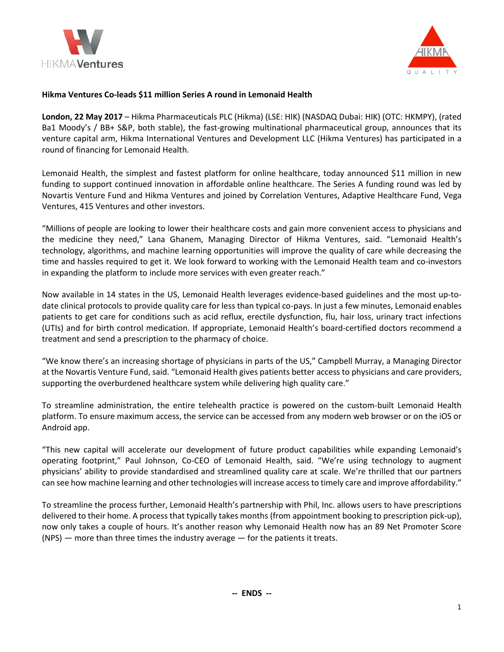



# **Hikma Ventures Co-leads \$11 million Series A round in Lemonaid Health**

**London, 22 May 2017** – Hikma Pharmaceuticals PLC (Hikma) (LSE: HIK) (NASDAQ Dubai: HIK) (OTC: HKMPY), (rated Ba1 Moody's / BB+ S&P, both stable), the fast-growing multinational pharmaceutical group, announces that its venture capital arm, Hikma International Ventures and Development LLC (Hikma Ventures) has participated in a round of financing for Lemonaid Health.

Lemonaid Health, the simplest and fastest platform for online healthcare, today announced \$11 million in new funding to support continued innovation in affordable online healthcare. The Series A funding round was led by Novartis Venture Fund and Hikma Ventures and joined by Correlation Ventures, Adaptive Healthcare Fund, Vega Ventures, 415 Ventures and other investors.

"Millions of people are looking to lower their healthcare costs and gain more convenient access to physicians and the medicine they need," Lana Ghanem, Managing Director of Hikma Ventures, said. "Lemonaid Health's technology, algorithms, and machine learning opportunities will improve the quality of care while decreasing the time and hassles required to get it. We look forward to working with the Lemonaid Health team and co-investors in expanding the platform to include more services with even greater reach."

Now available in 14 states in the US, Lemonaid Health leverages evidence-based guidelines and the most up-todate clinical protocols to provide quality care for less than typical co-pays. In just a few minutes, Lemonaid enables patients to get care for conditions such as acid reflux, erectile dysfunction, flu, hair loss, urinary tract infections (UTIs) and for birth control medication. If appropriate, Lemonaid Health's board-certified doctors recommend a treatment and send a prescription to the pharmacy of choice.

"We know there's an increasing shortage of physicians in parts of the US," Campbell Murray, a Managing Director at the Novartis Venture Fund, said. "Lemonaid Health gives patients better access to physicians and care providers, supporting the overburdened healthcare system while delivering high quality care."

To streamline administration, the entire telehealth practice is powered on the custom-built Lemonaid Health platform. To ensure maximum access, the service can be accessed from any modern web browser or on the iOS or Android app.

"This new capital will accelerate our development of future product capabilities while expanding Lemonaid's operating footprint," Paul Johnson, Co-CEO of Lemonaid Health, said. "We're using technology to augment physicians' ability to provide standardised and streamlined quality care at scale. We're thrilled that our partners can see how machine learning and other technologies will increase access to timely care and improve affordability."

To streamline the process further, Lemonaid Health's partnership with Phil, Inc. allows users to have prescriptions delivered to their home. A process that typically takes months (from appointment booking to prescription pick-up), now only takes a couple of hours. It's another reason why Lemonaid Health now has an 89 Net Promoter Score (NPS) — more than three times the industry average — for the patients it treats.